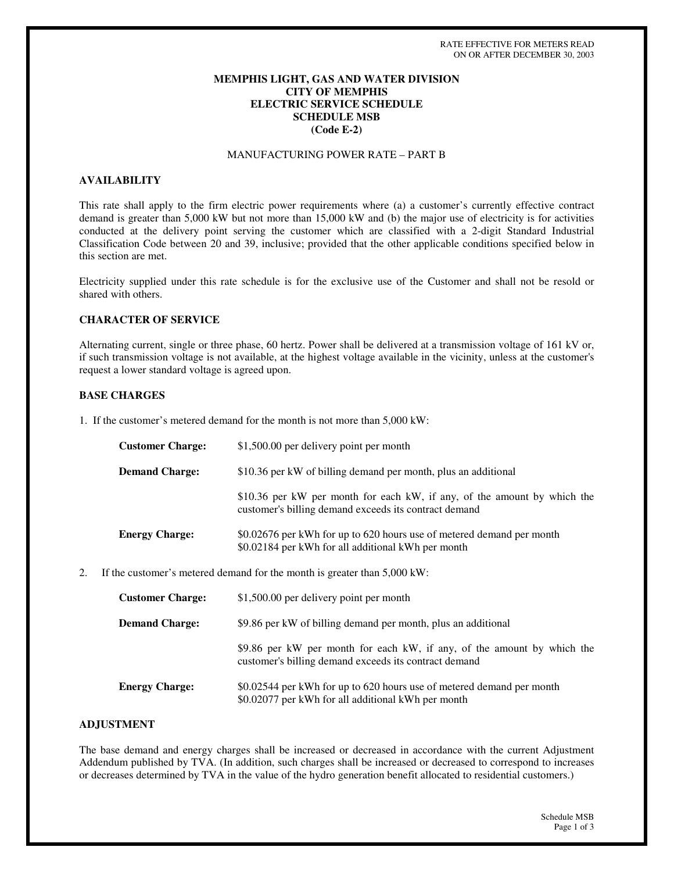## **MEMPHIS LIGHT, GAS AND WATER DIVISION CITY OF MEMPHIS ELECTRIC SERVICE SCHEDULE SCHEDULE MSB (Code E-2)**

# MANUFACTURING POWER RATE – PART B

#### **AVAILABILITY**

This rate shall apply to the firm electric power requirements where (a) a customer's currently effective contract demand is greater than 5,000 kW but not more than 15,000 kW and (b) the major use of electricity is for activities conducted at the delivery point serving the customer which are classified with a 2-digit Standard Industrial Classification Code between 20 and 39, inclusive; provided that the other applicable conditions specified below in this section are met.

Electricity supplied under this rate schedule is for the exclusive use of the Customer and shall not be resold or shared with others.

#### **CHARACTER OF SERVICE**

Alternating current, single or three phase, 60 hertz. Power shall be delivered at a transmission voltage of 161 kV or, if such transmission voltage is not available, at the highest voltage available in the vicinity, unless at the customer's request a lower standard voltage is agreed upon.

#### **BASE CHARGES**

1. If the customer's metered demand for the month is not more than 5,000 kW:

| <b>Customer Charge:</b> | \$1,500.00 per delivery point per month                                                                                           |
|-------------------------|-----------------------------------------------------------------------------------------------------------------------------------|
| <b>Demand Charge:</b>   | \$10.36 per kW of billing demand per month, plus an additional                                                                    |
|                         | \$10.36 per kW per month for each kW, if any, of the amount by which the<br>customer's billing demand exceeds its contract demand |
| <b>Energy Charge:</b>   | \$0.02676 per kWh for up to 620 hours use of metered demand per month<br>\$0.02184 per kWh for all additional kWh per month       |

2. If the customer's metered demand for the month is greater than 5,000 kW:

| <b>Customer Charge:</b> | \$1,500.00 per delivery point per month                                                                                          |
|-------------------------|----------------------------------------------------------------------------------------------------------------------------------|
| <b>Demand Charge:</b>   | \$9.86 per kW of billing demand per month, plus an additional                                                                    |
|                         | \$9.86 per kW per month for each kW, if any, of the amount by which the<br>customer's billing demand exceeds its contract demand |
| <b>Energy Charge:</b>   | \$0.02544 per kWh for up to 620 hours use of metered demand per month<br>\$0.02077 per kWh for all additional kWh per month      |

#### **ADJUSTMENT**

The base demand and energy charges shall be increased or decreased in accordance with the current Adjustment Addendum published by TVA. (In addition, such charges shall be increased or decreased to correspond to increases or decreases determined by TVA in the value of the hydro generation benefit allocated to residential customers.)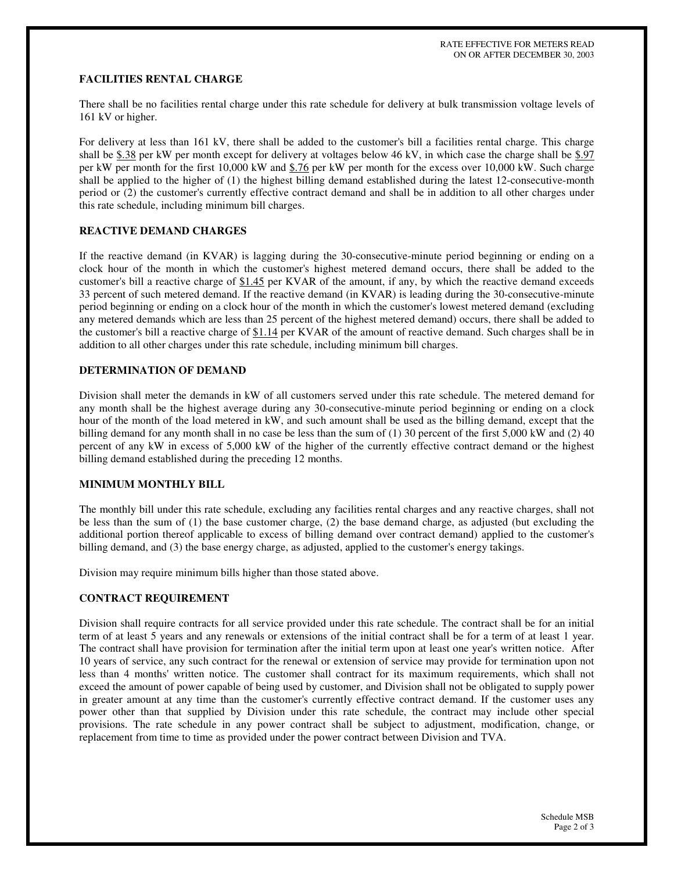## **FACILITIES RENTAL CHARGE**

There shall be no facilities rental charge under this rate schedule for delivery at bulk transmission voltage levels of 161 kV or higher.

For delivery at less than 161 kV, there shall be added to the customer's bill a facilities rental charge. This charge shall be \$.38 per kW per month except for delivery at voltages below 46 kV, in which case the charge shall be \$.97 per kW per month for the first 10,000 kW and \$.76 per kW per month for the excess over 10,000 kW. Such charge shall be applied to the higher of (1) the highest billing demand established during the latest 12-consecutive-month period or (2) the customer's currently effective contract demand and shall be in addition to all other charges under this rate schedule, including minimum bill charges.

### **REACTIVE DEMAND CHARGES**

If the reactive demand (in KVAR) is lagging during the 30-consecutive-minute period beginning or ending on a clock hour of the month in which the customer's highest metered demand occurs, there shall be added to the customer's bill a reactive charge of \$1.45 per KVAR of the amount, if any, by which the reactive demand exceeds 33 percent of such metered demand. If the reactive demand (in KVAR) is leading during the 30-consecutive-minute period beginning or ending on a clock hour of the month in which the customer's lowest metered demand (excluding any metered demands which are less than 25 percent of the highest metered demand) occurs, there shall be added to the customer's bill a reactive charge of  $$1.14$  per KVAR of the amount of reactive demand. Such charges shall be in addition to all other charges under this rate schedule, including minimum bill charges.

### **DETERMINATION OF DEMAND**

Division shall meter the demands in kW of all customers served under this rate schedule. The metered demand for any month shall be the highest average during any 30-consecutive-minute period beginning or ending on a clock hour of the month of the load metered in kW, and such amount shall be used as the billing demand, except that the billing demand for any month shall in no case be less than the sum of  $(1)$  30 percent of the first 5,000 kW and  $(2)$  40 percent of any kW in excess of 5,000 kW of the higher of the currently effective contract demand or the highest billing demand established during the preceding 12 months.

# **MINIMUM MONTHLY BILL**

The monthly bill under this rate schedule, excluding any facilities rental charges and any reactive charges, shall not be less than the sum of (1) the base customer charge, (2) the base demand charge, as adjusted (but excluding the additional portion thereof applicable to excess of billing demand over contract demand) applied to the customer's billing demand, and (3) the base energy charge, as adjusted, applied to the customer's energy takings.

Division may require minimum bills higher than those stated above.

#### **CONTRACT REQUIREMENT**

Division shall require contracts for all service provided under this rate schedule. The contract shall be for an initial term of at least 5 years and any renewals or extensions of the initial contract shall be for a term of at least 1 year. The contract shall have provision for termination after the initial term upon at least one year's written notice. After 10 years of service, any such contract for the renewal or extension of service may provide for termination upon not less than 4 months'written notice. The customer shall contract for its maximum requirements, which shall not exceed the amount of power capable of being used by customer, and Division shall not be obligated to supply power in greater amount at any time than the customer's currently effective contract demand. If the customer uses any power other than that supplied by Division under this rate schedule, the contract may include other special provisions. The rate schedule in any power contract shall be subject to adjustment, modification, change, or replacement from time to time as provided under the power contract between Division and TVA.